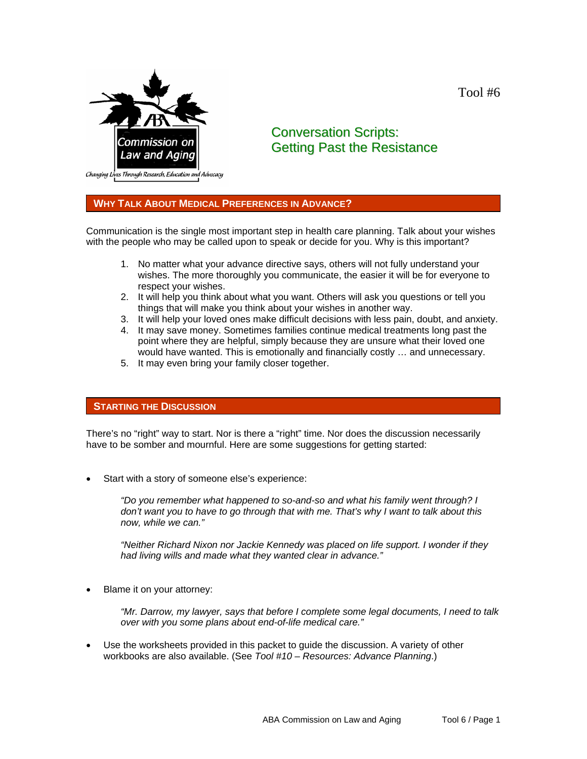Tool #6



# Conversation Scripts: Getting Past the Resistance

## **WHY TALK ABOUT MEDICAL PREFERENCES IN ADVANCE?**

Communication is the single most important step in health care planning. Talk about your wishes with the people who may be called upon to speak or decide for you. Why is this important?

- 1. No matter what your advance directive says, others will not fully understand your wishes. The more thoroughly you communicate, the easier it will be for everyone to respect your wishes.
- 2. It will help you think about what you want. Others will ask you questions or tell you things that will make you think about your wishes in another way.
- 3. It will help your loved ones make difficult decisions with less pain, doubt, and anxiety.
- 4. It may save money. Sometimes families continue medical treatments long past the point where they are helpful, simply because they are unsure what their loved one would have wanted. This is emotionally and financially costly … and unnecessary.
- 5. It may even bring your family closer together.

## **STARTING THE DISCUSSION**

There's no "right" way to start. Nor is there a "right" time. Nor does the discussion necessarily have to be somber and mournful. Here are some suggestions for getting started:

Start with a story of someone else's experience:

*"Do you remember what happened to so-and-so and what his family went through? I don't want you to have to go through that with me. That's why I want to talk about this now, while we can."* 

*"Neither Richard Nixon nor Jackie Kennedy was placed on life support. I wonder if they had living wills and made what they wanted clear in advance."* 

Blame it on your attorney:

*"Mr. Darrow, my lawyer, says that before I complete some legal documents, I need to talk over with you some plans about end-of-life medical care."* 

• Use the worksheets provided in this packet to guide the discussion. A variety of other workbooks are also available. (See *Tool #10 – Resources: Advance Planning*.)